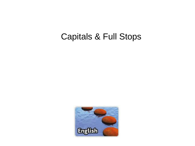### Capitals & Full Stops

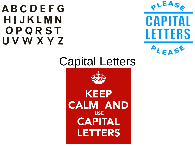### **ABCDEFG** HIJKLMN OPQRST **UVWXYZ**



# Capital Letters

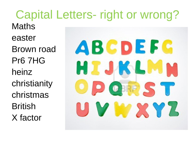**Capital Letters- right or wrong? Maths** easter ABCDEFG **Brown road Pr6 7HG HIJKLM** heinz christianity OBRE ST christmas **British** Y LY X Y Z X factor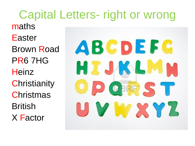Capital Letters- right or wrong maths Easter ABCDEFG Brown Road PR6 7HG **HIJKLM Heinz Christianity** OFRST **Christmas British** Y MY XYZ X Factor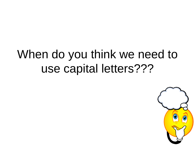# When do you think we need to use capital letters???

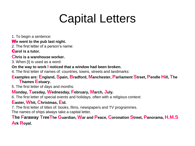# Capital Letters

1. To begin a sentence:

#### W**e went to the pub last night.**

2. The first letter of a person's name:

C**arol is a tutor.**

#### **Chris is a warehouse worker.**

3. When [I] is used as a word:

#### **On the way to work I noticed that a window had been broken.**

4. The first letter of names of: countries, towns, streets and landmarks:

#### Examples are: England, Spain, Bradford, Manchester, Parliament Street, Pendle Hill, The **Thames Estuary.**

5. The first letter of days and months:

#### **Monday, Tuesday, Wednesday, February, March, July.**

6. The first letter of special events and holidays, often with a religious context:

#### **Easter, Whit, Christmas, Eid.**

7. The first letter of titles of: books, films, newspapers and TV programmes.

The names of ships always take a capital letter.

#### The Faraway TreeThe Guardian, War and Peace, Coronation Street, Panorama, H.M.S **Ark Royal.**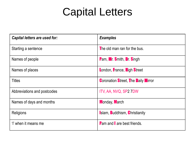## Capital Letters

| Capital letters are used for: | <b>Examples</b>                            |  |
|-------------------------------|--------------------------------------------|--|
| Starting a sentence           | The old man ran for the bus.               |  |
| Names of people               | <b>Pam, Mr. Smith, Dr. Singh</b>           |  |
| Names of places               | London, France, High Street                |  |
| <b>Titles</b>                 | <b>Coronation Street, The Daily Mirror</b> |  |
| Abbreviations and postcodes   | ITV, AA, NVQ, SP2 7DW                      |  |
| Names of days and months      | <b>Monday, March</b>                       |  |
| Religions                     | <b>Islam, Buddhism, Christianity</b>       |  |
| 'I' when it means me          | <b>Pam and are best friends.</b>           |  |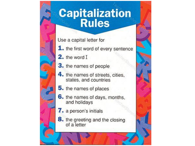## **Capitalization Rules**

Use a capital letter for

- 1. the first word of every sentence
- 2. the word I
- 3. the names of people
- 4. the names of streets, cities, states, and countries
- 5. the names of places
- 6. the names of days, months, and holidays
- 7. a person's initials
- 8. the greeting and the closing of a letter

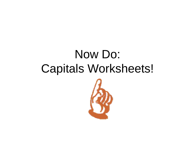# Now Do: **Capitals Worksheets!**

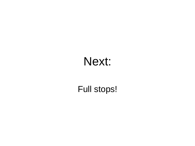# Next:

### Full stops!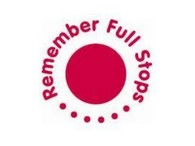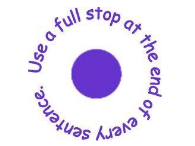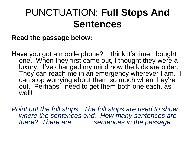### PUNCTUATION: **Full Stops And Sentences**

#### **Read the passage below:**

Have you got a mobile phone? I think it's time I bought one. When they first came out, I thought they were a luxury. I've changed my mind now the kids are older. They can reach me in an emergency wherever I am. I can stop worrying about them so much when they're out. Perhaps I need to get them both one each, as well!

*Point out the full stops. The full stops are used to show where the sentences end. How many sentences are there? There are \_\_\_\_\_ sentences in the passage.*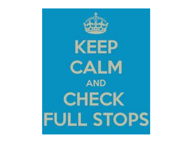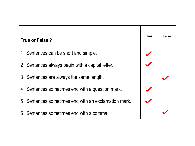| True or False?                                      |  | <b>False</b> |
|-----------------------------------------------------|--|--------------|
| 1 Sentences can be short and simple.                |  |              |
| 2 Sentences always begin with a capital letter.     |  |              |
| 3 Sentences are always the same length.             |  |              |
| 4 Sentences sometimes end with a question mark.     |  |              |
| 5 Sentences sometimes end with an exclamation mark. |  |              |
| Sentences sometimes end with a comma.<br>6          |  |              |